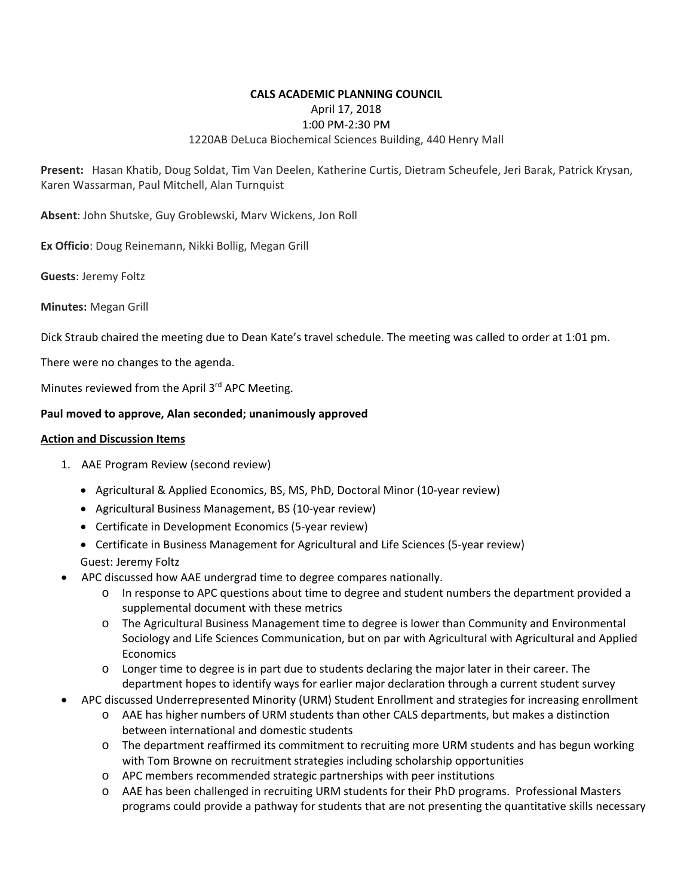### **CALS ACADEMIC PLANNING COUNCIL**  April 17, 2018 1:00 PM‐2:30 PM 1220AB DeLuca Biochemical Sciences Building, 440 Henry Mall

**Present:**  Hasan Khatib, Doug Soldat, Tim Van Deelen, Katherine Curtis, Dietram Scheufele, Jeri Barak, Patrick Krysan, Karen Wassarman, Paul Mitchell, Alan Turnquist

**Absent**: John Shutske, Guy Groblewski, Marv Wickens, Jon Roll

**Ex Officio**: Doug Reinemann, Nikki Bollig, Megan Grill

**Guests**: Jeremy Foltz

**Minutes:** Megan Grill

Dick Straub chaired the meeting due to Dean Kate's travel schedule. The meeting was called to order at 1:01 pm.

There were no changes to the agenda.

Minutes reviewed from the April 3rd APC Meeting.

#### **Paul moved to approve, Alan seconded; unanimously approved**

#### **Action and Discussion Items**

- 1. AAE Program Review (second review)
	- Agricultural & Applied Economics, BS, MS, PhD, Doctoral Minor (10‐year review)
	- Agricultural Business Management, BS (10‐year review)
	- Certificate in Development Economics (5‐year review)
	- Certificate in Business Management for Agricultural and Life Sciences (5-year review)
	- Guest: Jeremy Foltz
- APC discussed how AAE undergrad time to degree compares nationally.
	- o In response to APC questions about time to degree and student numbers the department provided a supplemental document with these metrics
	- o The Agricultural Business Management time to degree is lower than Community and Environmental Sociology and Life Sciences Communication, but on par with Agricultural with Agricultural and Applied **Economics**
	- o Longer time to degree is in part due to students declaring the major later in their career. The department hopes to identify ways for earlier major declaration through a current student survey
- APC discussed Underrepresented Minority (URM) Student Enrollment and strategies for increasing enrollment
	- o AAE has higher numbers of URM students than other CALS departments, but makes a distinction between international and domestic students
	- o The department reaffirmed its commitment to recruiting more URM students and has begun working with Tom Browne on recruitment strategies including scholarship opportunities
	- o APC members recommended strategic partnerships with peer institutions
	- o AAE has been challenged in recruiting URM students for their PhD programs. Professional Masters programs could provide a pathway for students that are not presenting the quantitative skills necessary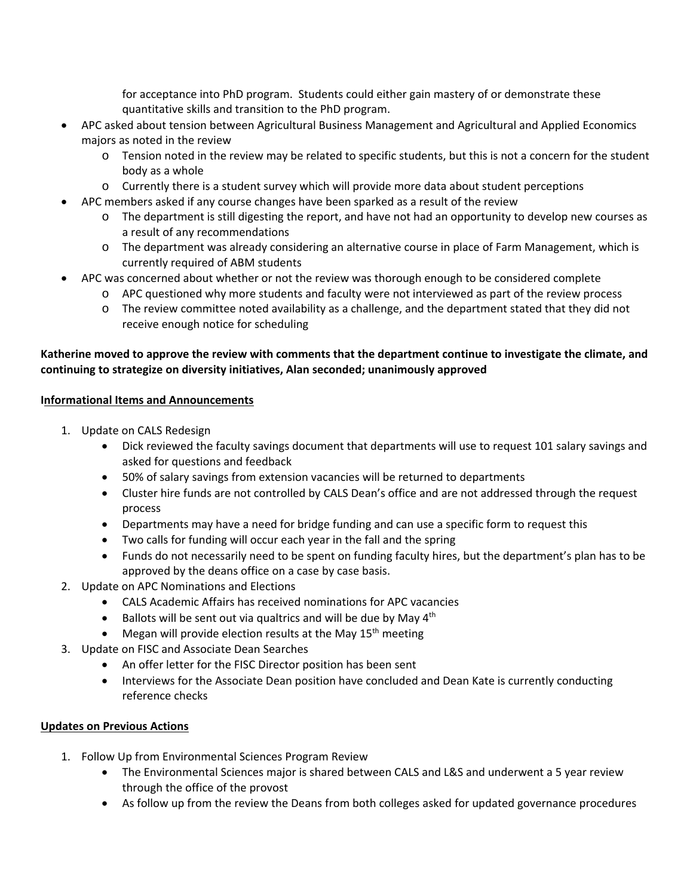for acceptance into PhD program. Students could either gain mastery of or demonstrate these quantitative skills and transition to the PhD program.

- APC asked about tension between Agricultural Business Management and Agricultural and Applied Economics majors as noted in the review
	- o Tension noted in the review may be related to specific students, but this is not a concern for the student body as a whole
	- o Currently there is a student survey which will provide more data about student perceptions
	- APC members asked if any course changes have been sparked as a result of the review
		- o The department is still digesting the report, and have not had an opportunity to develop new courses as a result of any recommendations
		- o The department was already considering an alternative course in place of Farm Management, which is currently required of ABM students
- APC was concerned about whether or not the review was thorough enough to be considered complete
	- o APC questioned why more students and faculty were not interviewed as part of the review process
	- o The review committee noted availability as a challenge, and the department stated that they did not receive enough notice for scheduling

# **Katherine moved to approve the review with comments that the department continue to investigate the climate, and continuing to strategize on diversity initiatives, Alan seconded; unanimously approved**

## **Informational Items and Announcements**

- 1. Update on CALS Redesign
	- Dick reviewed the faculty savings document that departments will use to request 101 salary savings and asked for questions and feedback
	- 50% of salary savings from extension vacancies will be returned to departments
	- Cluster hire funds are not controlled by CALS Dean's office and are not addressed through the request process
	- Departments may have a need for bridge funding and can use a specific form to request this
	- Two calls for funding will occur each year in the fall and the spring
	- Funds do not necessarily need to be spent on funding faculty hires, but the department's plan has to be approved by the deans office on a case by case basis.
- 2. Update on APC Nominations and Elections
	- CALS Academic Affairs has received nominations for APC vacancies
	- $\bullet$  Ballots will be sent out via qualtrics and will be due by May 4<sup>th</sup>
	- $\bullet$  Megan will provide election results at the May 15<sup>th</sup> meeting
- 3. Update on FISC and Associate Dean Searches
	- An offer letter for the FISC Director position has been sent
	- Interviews for the Associate Dean position have concluded and Dean Kate is currently conducting reference checks

# **Updates on Previous Actions**

- 1. Follow Up from Environmental Sciences Program Review
	- The Environmental Sciences major is shared between CALS and L&S and underwent a 5 year review through the office of the provost
	- As follow up from the review the Deans from both colleges asked for updated governance procedures